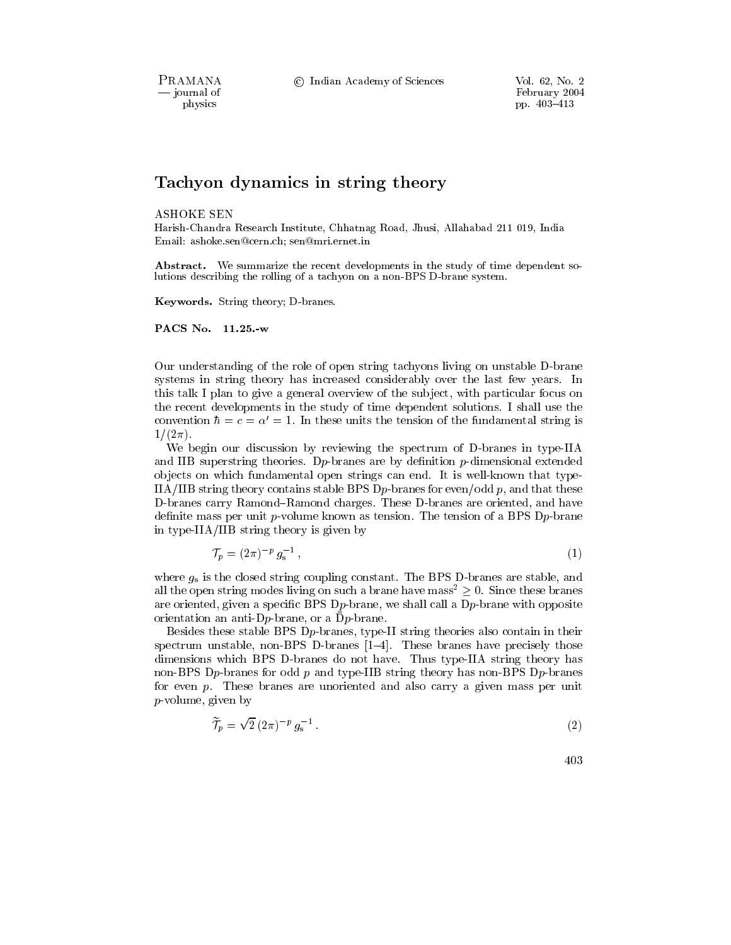PRAMANA - journal of physics

© Indian Academy of Sciences

# Tachyon dynamics in string theory

#### **ASHOKE SEN**

Harish-Chandra Research Institute, Chhatnag Road, Jhusi, Allahabad 211 019, India Email: ashoke.sen@cern.ch; sen@mri.ernet.in

**Abstract.** We summarize the recent developments in the study of time dependent solutions describing the rolling of a tachyon on a non-BPS D-brane system.

Keywords. String theory; D-branes.

PACS No. 11.25.-w

Our understanding of the role of open string tachyons living on unstable D-brane systems in string theory has increased considerably over the last few years. In this talk I plan to give a general overview of the subject, with particular focus on the recent developments in the study of time dependent solutions. I shall use the convention  $\hbar = c = \alpha' = 1$ . In these units the tension of the fundamental string is  $1/(2\pi)$ .

We begin our discussion by reviewing the spectrum of D-branes in type-IIA and IIB superstring theories. D<sub>p</sub>-branes are by definition  $p$ -dimensional extended objects on which fundamental open strings can end. It is well-known that type-IIA/IIB string theory contains stable BPS D<sub>p</sub>-branes for even/odd p, and that these D-branes carry Ramond-Ramond charges. These D-branes are oriented, and have definite mass per unit p-volume known as tension. The tension of a BPS Dp-brane in type-IIA/IIB string theory is given by

$$
\mathcal{T}_p = (2\pi)^{-p} g_s^{-1} \,,\tag{1}
$$

where  $g_s$  is the closed string coupling constant. The BPS D-branes are stable, and all the open string modes living on such a brane have mass<sup>2</sup>  $\geq$  0. Since these branes are oriented, given a specific BPS D<sub>p</sub>-brane, we shall call a D<sub>p</sub>-brane with opposite orientation an anti-D<sub>p</sub>-brane, or a  $\bar{D}p$ -brane.

Besides these stable BPS Dp-branes, type-II string theories also contain in their spectrum unstable, non-BPS D-branes  $[1-4]$ . These branes have precisely those dimensions which BPS D-branes do not have. Thus type-IIA string theory has non-BPS Dp-branes for odd p and type-IIB string theory has non-BPS Dp-branes for even  $p$ . These branes are unoriented and also carry a given mass per unit  $p$ -volume, given by

$$
\widetilde{\mathcal{T}}_p = \sqrt{2} \left( 2\pi \right)^{-p} g_s^{-1} \,. \tag{2}
$$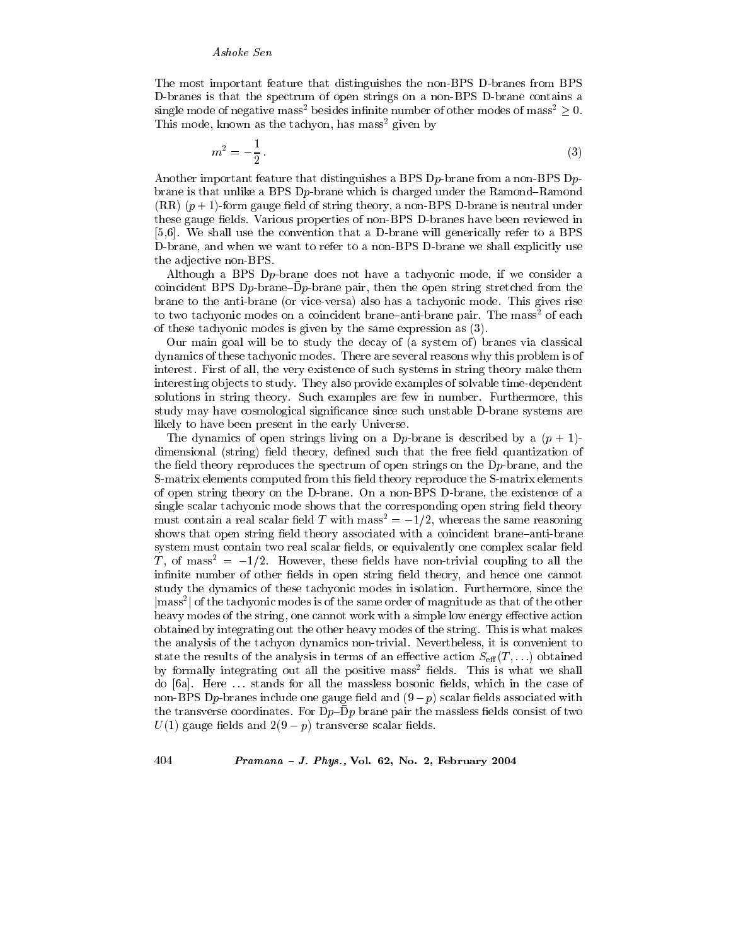The most important feature that distinguishes the non-BPS D-branes from BPS D-branes is that the spectrum of open strings on a non-BPS D-brane contains a single mode of negative mass<sup>2</sup> besides infinite number of other modes of mass<sup>2</sup>  $\geq$  0. This mode, known as the tachyon, has mass<sup>2</sup> given by

$$
m^2 = -\frac{1}{2}.\tag{3}
$$

Another important feature that distinguishes a BPS  $Dp$ -brane from a non-BPS  $Dp$ brane is that unlike a BPS D<sub>p</sub>-brane which is charged under the Ramond-Ramond  $(RR)$  ( $p+1$ )-form gauge field of string theory, a non-BPS D-brane is neutral under these gauge fields. Various properties of non-BPS D-branes have been reviewed in  $[5,6]$ . We shall use the convention that a D-brane will generically refer to a BPS D-brane, and when we want to refer to a non-BPS D-brane we shall explicitly use the adjective non-BPS.

Although a BPS D<sub>p</sub>-brane does not have a tachyonic mode, if we consider a coincident BPS Dp-brane- $\bar{D}p$ -brane pair, then the open string stretched from the brane to the anti-brane (or vice-versa) also has a tachyonic mode. This gives rise to two tachyonic modes on a coincident brane-anti-brane pair. The mass<sup>2</sup> of each of these tachyonic modes is given by the same expression as  $(3)$ .

Our main goal will be to study the decay of (a system of) branes via classical dynamics of these tachyonic modes. There are several reasons why this problem is of interest. First of all, the very existence of such systems in string theory make them interesting objects to study. They also provide examples of solvable time-dependent solutions in string theory. Such examples are few in number. Furthermore, this study may have cosmological significance since such unstable D-brane systems are likely to have been present in the early Universe.

The dynamics of open strings living on a Dp-brane is described by a  $(p + 1)$ dimensional (string) field theory, defined such that the free field quantization of the field theory reproduces the spectrum of open strings on the  $Dp$ -brane, and the S-matrix elements computed from this field theory reproduce the S-matrix elements of open string theory on the D-brane. On a non-BPS D-brane, the existence of a single scalar tachyonic mode shows that the corresponding open string field theory must contain a real scalar field T with mass<sup>2</sup> =  $-1/2$ , whereas the same reasoning shows that open string field theory associated with a coincident brane-anti-brane system must contain two real scalar fields, or equivalently one complex scalar field T, of mass<sup>2</sup> =  $-1/2$ . However, these fields have non-trivial coupling to all the infinite number of other fields in open string field theory, and hence one cannot study the dynamics of these tachyonic modes in isolation. Furthermore, since the  $|\text{mass}^2|$  of the tachyonic modes is of the same order of magnitude as that of the other heavy modes of the string, one cannot work with a simple low energy effective action obtained by integrating out the other heavy modes of the string. This is what makes the analysis of the tachyon dynamics non-trivial. Nevertheless, it is convenient to state the results of the analysis in terms of an effective action  $S_{\text{eff}}(T,\ldots)$  obtained by formally integrating out all the positive mass<sup>2</sup> fields. This is what we shall do [6a]. Here ... stands for all the massless bosonic fields, which in the case of non-BPS Dp-branes include one gauge field and  $(9-p)$  scalar fields associated with the transverse coordinates. For  $Dp$ -Dp brane pair the massless fields consist of two  $U(1)$  gauge fields and  $2(9-p)$  transverse scalar fields.

#### Pramana - J. Phys., Vol. 62, No. 2, February 2004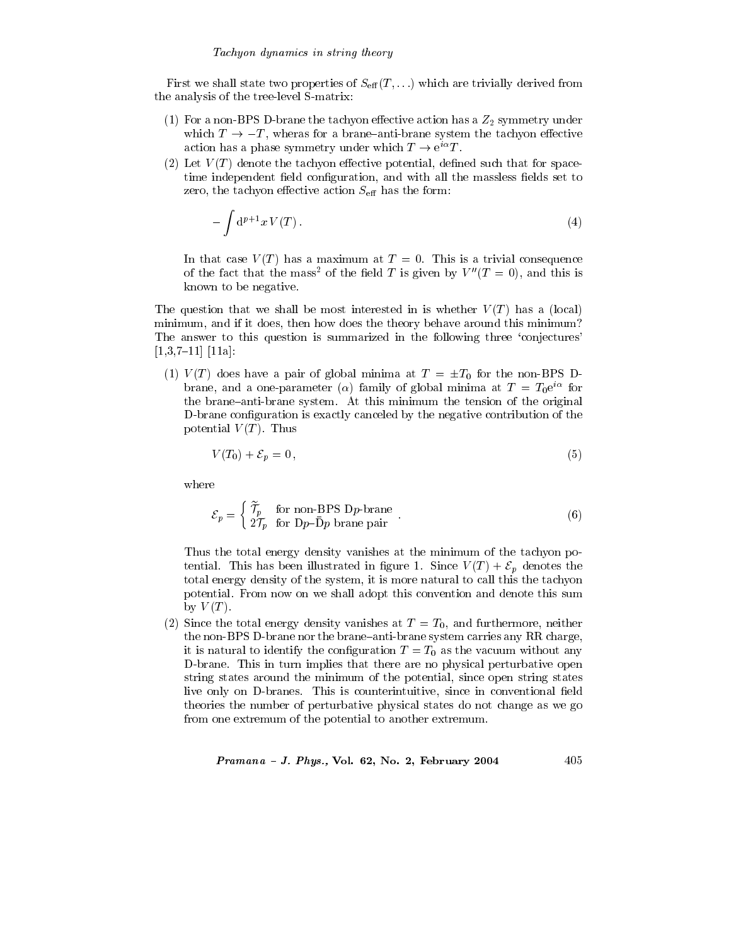First we shall state two properties of  $S_{\text{eff}}(T,\ldots)$  which are trivially derived from the analysis of the tree-level S-matrix:

- (1) For a non-BPS D-brane the tachyon effective action has a  $Z_2$  symmetry under which  $T \rightarrow -T$ , wheras for a brane-anti-brane system the tachyon effective action has a phase symmetry under which  $T \to e^{i\alpha} T$ .
- (2) Let  $V(T)$  denote the tachyon effective potential, defined such that for spacetime independent field configuration, and with all the massless fields set to zero, the tachyon effective action  $S_{\text{eff}}$  has the form:

$$
-\int d^{p+1}x V(T). \tag{4}
$$

In that case  $V(T)$  has a maximum at  $T = 0$ . This is a trivial consequence of the fact that the mass<sup>2</sup> of the field T is given by  $V''(T=0)$ , and this is known to be negative.

The question that we shall be most interested in is whether  $V(T)$  has a (local) minimum, and if it does, then how does the theory behave around this minimum? The answer to this question is summarized in the following three 'conjectures'  $[1,3,7-11]$   $[11a]$ :

(1)  $V(T)$  does have a pair of global minima at  $T = \pm T_0$  for the non-BPS Dbrane, and a one-parameter ( $\alpha$ ) family of global minima at  $T = T_0 e^{i\alpha}$  for the brane-anti-brane system. At this minimum the tension of the original D-brane configuration is exactly canceled by the negative contribution of the potential  $V(T)$ . Thus

$$
V(T_0) + \mathcal{E}_p = 0,\t\t(5)
$$

where

$$
\mathcal{E}_p = \begin{cases} \widetilde{\mathcal{T}}_p & \text{for non-BPS D}p\text{-brane} \\ 2\mathcal{T}_p & \text{for D}p\text{-}\bar{D}p \text{ brane pair} \end{cases} \tag{6}
$$

Thus the total energy density vanishes at the minimum of the tachyon potential. This has been illustrated in figure 1. Since  $V(T) + \mathcal{E}_p$  denotes the total energy density of the system, it is more natural to call this the tachyon potential. From now on we shall adopt this convention and denote this sum by  $V(T)$ .

(2) Since the total energy density vanishes at  $T = T_0$ , and furthermore, neither the non-BPS D-brane nor the brane-anti-brane system carries any RR charge, it is natural to identify the configuration  $T = T_0$  as the vacuum without any D-brane. This in turn implies that there are no physical perturbative open string states around the minimum of the potential, since open string states live only on D-branes. This is counterintuitive, since in conventional field theories the number of perturbative physical states do not change as we go from one extremum of the potential to another extremum.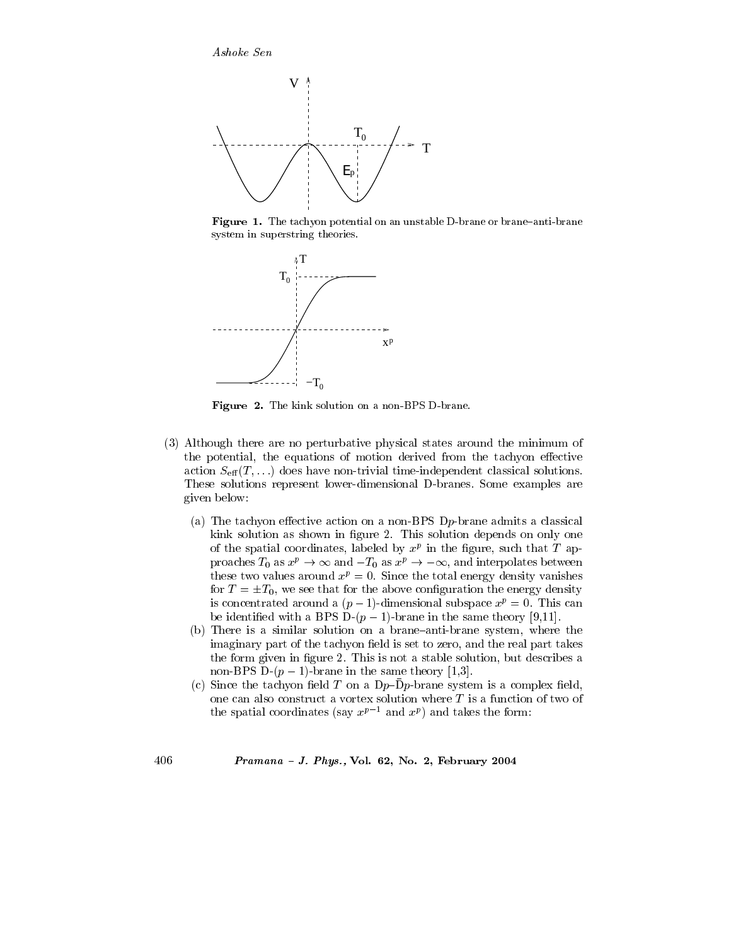

Figure 1. The tachyon potential on an unstable D-brane or brane-anti-brane system in superstring theories.



Figure 2. The kink solution on a non-BPS D-brane.

- (3) Although there are no perturbative physical states around the minimum of the potential, the equations of motion derived from the tachyon effective action  $S_{\text{eff}}(T,\ldots)$  does have non-trivial time-independent classical solutions. These solutions represent lower-dimensional D-branes. Some examples are given below:
	- (a) The tachyon effective action on a non-BPS Dp-brane admits a classical kink solution as shown in figure 2. This solution depends on only one of the spatial coordinates, labeled by  $x^p$  in the figure, such that T approaches  $T_0$  as  $x^p \to \infty$  and  $-T_0$  as  $x^p \to -\infty$ , and interpolates between these two values around  $x^p = 0$ . Since the total energy density vanishes for  $T = \pm T_0$ , we see that for the above configuration the energy density is concentrated around a  $(p-1)$ -dimensional subspace  $x^p = 0$ . This can be identified with a BPS D- $(p-1)$ -brane in the same theory [9,11].
	- (b) There is a similar solution on a brane-anti-brane system, where the imaginary part of the tachyon field is set to zero, and the real part takes the form given in figure 2. This is not a stable solution, but describes a non-BPS D- $(p-1)$ -brane in the same theory [1,3].
	- (c) Since the tachyon field T on a  $Dp-\overline{D}p$ -brane system is a complex field, one can also construct a vortex solution where  $T$  is a function of two of the spatial coordinates (say  $x^{p-1}$  and  $x^p$ ) and takes the form: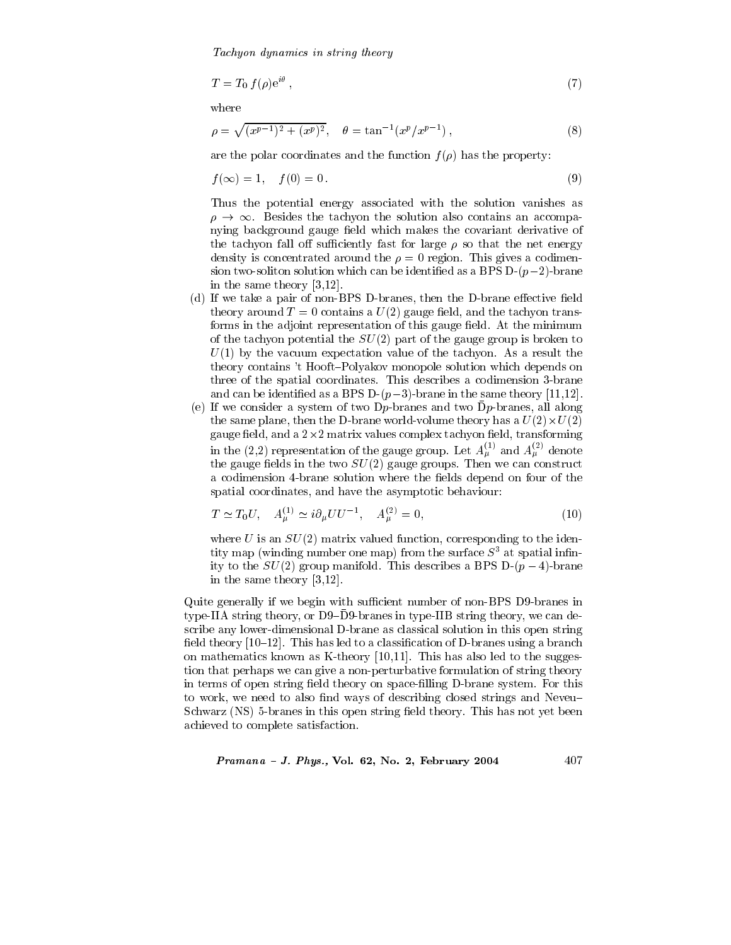Tachyon dynamics in string theory

$$
T = T_0 f(\rho) e^{i\theta} , \qquad (7)
$$

where

$$
\rho = \sqrt{(x^{p-1})^2 + (x^p)^2}, \quad \theta = \tan^{-1}(x^p/x^{p-1}), \tag{8}
$$

are the polar coordinates and the function  $f(\rho)$  has the property:

$$
f(\infty) = 1, \quad f(0) = 0. \tag{9}
$$

Thus the potential energy associated with the solution vanishes as  $\rho \rightarrow \infty$ . Besides the tachyon the solution also contains an accompanying background gauge field which makes the covariant derivative of the tachyon fall off sufficiently fast for large  $\rho$  so that the net energy density is concentrated around the  $\rho = 0$  region. This gives a codimension two-soliton solution which can be identified as a BPS D- $(p-2)$ -brane in the same theory  $[3,12]$ .

- (d) If we take a pair of non-BPS D-branes, then the D-brane effective field theory around  $T=0$  contains a  $U(2)$  gauge field, and the tachyon transforms in the adjoint representation of this gauge field. At the minimum of the tachyon potential the  $SU(2)$  part of the gauge group is broken to  $U(1)$  by the vacuum expectation value of the tachyon. As a result the theory contains 't Hooft-Polyakov monopole solution which depends on three of the spatial coordinates. This describes a codimension 3-brane and can be identified as a BPS D- $(p-3)$ -brane in the same theory [11,12].
- (e) If we consider a system of two D<sub>p</sub>-branes and two  $\bar{D}p$ -branes, all along the same plane, then the D-brane world-volume theory has a  $U(2) \times U(2)$ gauge field, and a  $2\times 2$  matrix values complex tachyon field, transforming in the (2,2) representation of the gauge group. Let  $A_{\mu}^{(1)}$  and  $A_{\mu}^{(2)}$  denote the gauge fields in the two  $SU(2)$  gauge groups. Then we can construct a codimension 4-brane solution where the fields depend on four of the spatial coordinates, and have the asymptotic behaviour:

$$
T \simeq T_0 U, \quad A_{\mu}^{(1)} \simeq i \partial_{\mu} U U^{-1}, \quad A_{\mu}^{(2)} = 0,
$$
\n(10)

where U is an  $SU(2)$  matrix valued function, corresponding to the identity map (winding number one map) from the surface  $S^3$  at spatial infinity to the  $SU(2)$  group manifold. This describes a BPS D- $(p-4)$ -brane in the same theory  $[3,12]$ .

Quite generally if we begin with sufficient number of non-BPS D9-branes in type-IIA string theory, or D9–D9-branes in type-IIB string theory, we can describe any lower-dimensional D-brane as classical solution in this open string field theory  $[10-12]$ . This has led to a classification of D-branes using a branch on mathematics known as K-theory  $[10,11]$ . This has also led to the suggestion that perhaps we can give a non-perturbative formulation of string theory in terms of open string field theory on space-filling D-brane system. For this to work, we need to also find ways of describing closed strings and Neveu-Schwarz (NS) 5-branes in this open string field theory. This has not yet been achieved to complete satisfaction.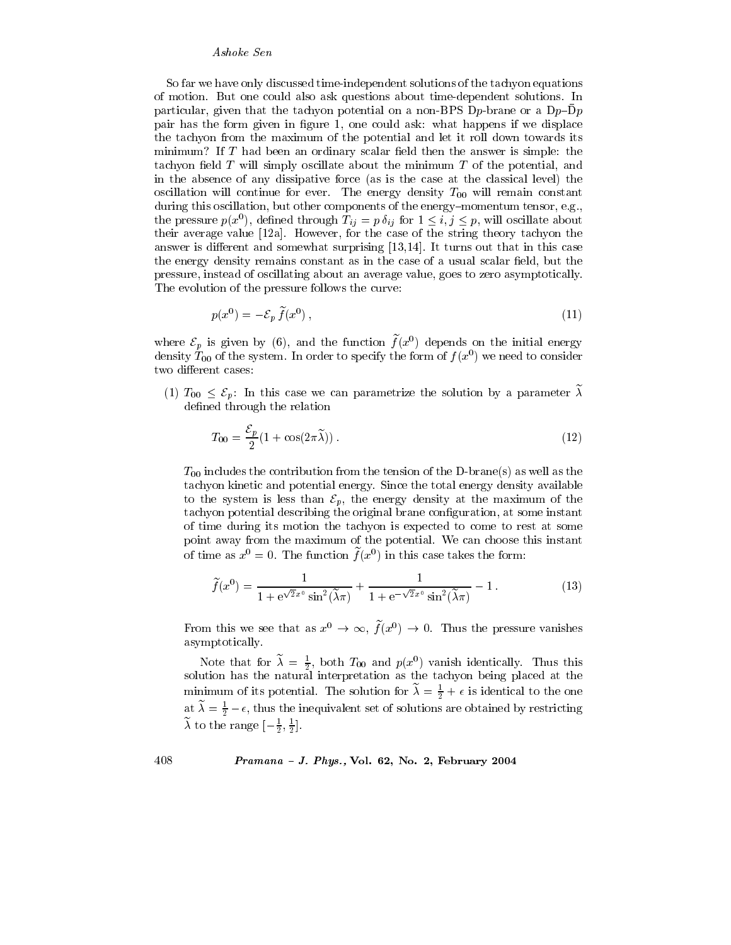So far we have only discussed time-independent solutions of the tachyon equations of motion. But one could also ask questions about time-dependent solutions. In particular, given that the tachyon potential on a non-BPS Dp-brane or a  $Dp$ -Dp pair has the form given in figure 1, one could ask: what happens if we displace the tachyon from the maximum of the potential and let it roll down towards its minimum? If T had been an ordinary scalar field then the answer is simple: the tachyon field  $T$  will simply oscillate about the minimum  $T$  of the potential, and in the absence of any dissipative force (as is the case at the classical level) the oscillation will continue for ever. The energy density  $T_{00}$  will remain constant during this oscillation, but other components of the energy–momentum tensor, e.g., the pressure  $p(x^0)$ , defined through  $T_{ij} = p \delta_{ij}$  for  $1 \le i, j \le p$ , will oscillate about their average value [12a]. However, for the case of the string theory tachyon the answer is different and somewhat surprising  $[13,14]$ . It turns out that in this case the energy density remains constant as in the case of a usual scalar field, but the pressure, instead of oscillating about an average value, goes to zero asymptotically. The evolution of the pressure follows the curve:

$$
p(x^0) = -\mathcal{E}_p \tilde{f}(x^0),\tag{11}
$$

where  $\mathcal{E}_p$  is given by (6), and the function  $\tilde{f}(x^0)$  depends on the initial energy density  $T_{00}$  of the system. In order to specify the form of  $f(x^0)$  we need to consider two different cases:

(1)  $T_{00} \leq \mathcal{E}_p$ : In this case we can parametrize the solution by a parameter  $\tilde{\lambda}$ defined through the relation

$$
T_{00} = \frac{\mathcal{E}_p}{2} (1 + \cos(2\pi \tilde{\lambda})).
$$
\n(12)

 $T_{00}$  includes the contribution from the tension of the D-brane(s) as well as the tachyon kinetic and potential energy. Since the total energy density available to the system is less than  $\mathcal{E}_v$ , the energy density at the maximum of the tachyon potential describing the original brane configuration, at some instant of time during its motion the tachyon is expected to come to rest at some point away from the maximum of the potential. We can choose this instant of time as  $x^0 = 0$ . The function  $f(x^0)$  in this case takes the form:

$$
\widetilde{f}(x^0) = \frac{1}{1 + e^{\sqrt{2}x^0} \sin^2(\widetilde{\lambda}\pi)} + \frac{1}{1 + e^{-\sqrt{2}x^0} \sin^2(\widetilde{\lambda}\pi)} - 1.
$$
\n(13)

From this we see that as  $x^0 \to \infty$ ,  $\tilde{f}(x^0) \to 0$ . Thus the pressure vanishes asymptotically.

Note that for  $\tilde{\lambda} = \frac{1}{2}$ , both  $T_{00}$  and  $p(x^0)$  vanish identically. Thus this solution has the natural interpretation as the tachyon being placed at the minimum of its potential. The solution for  $\lambda = \frac{1}{2} + \epsilon$  is identical to the one at  $\tilde{\lambda} = \frac{1}{2} - \epsilon$ , thus the inequivalent set of solutions are obtained by restricting  $\widetilde{\lambda}$  to the range  $\left[-\frac{1}{2},\frac{1}{2}\right]$ .

 $Pramana - J. Phys., Vol. 62, No. 2, February 2004$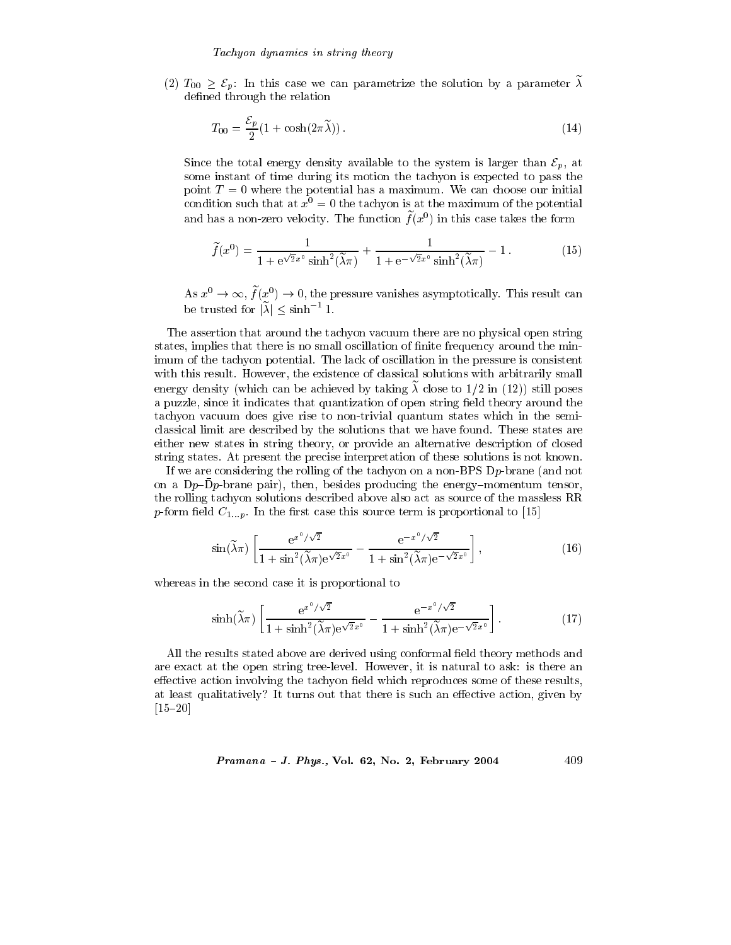(2)  $T_{00} \geq \mathcal{E}_p$ : In this case we can parametrize the solution by a parameter  $\tilde{\lambda}$ defined through the relation

$$
T_{00} = \frac{\mathcal{E}_p}{2} (1 + \cosh(2\pi \tilde{\lambda})).
$$
\n(14)

Since the total energy density available to the system is larger than  $\mathcal{E}_p$ , at some instant of time during its motion the tachyon is expected to pass the point  $T=0$  where the potential has a maximum. We can choose our initial condition such that at  $x^0 = 0$  the tachyon is at the maximum of the potential and has a non-zero velocity. The function  $\tilde{f}(x^0)$  in this case takes the form

$$
\widetilde{f}(x^0) = \frac{1}{1 + e^{\sqrt{2}x^0}\sinh^2(\widetilde{\lambda}\pi)} + \frac{1}{1 + e^{-\sqrt{2}x^0}\sinh^2(\widetilde{\lambda}\pi)} - 1.
$$
\n(15)

As  $x^0 \to \infty$ ,  $\tilde{f}(x^0) \to 0$ , the pressure vanishes asymptotically. This result can be trusted for  $|\tilde{\lambda}| \le \sinh^{-1} 1$ .

The assertion that around the tachyon vacuum there are no physical open string states, implies that there is no small oscillation of finite frequency around the minimum of the tachyon potential. The lack of oscillation in the pressure is consistent with this result. However, the existence of classical solutions with arbitrarily small energy density (which can be achieved by taking  $\tilde{\lambda}$  close to 1/2 in (12)) still poses a puzzle, since it indicates that quantization of open string field theory around the tachyon vacuum does give rise to non-trivial quantum states which in the semiclassical limit are described by the solutions that we have found. These states are either new states in string theory, or provide an alternative description of closed string states. At present the precise interpretation of these solutions is not known.

If we are considering the rolling of the tachyon on a non-BPS  $D_p$ -brane (and not on a Dp-Dp-brane pair), then, besides producing the energy-momentum tensor, the rolling tachyon solutions described above also act as source of the massless RR p-form field  $C_{1...p}$ . In the first case this source term is proportional to [15]

$$
\sin(\widetilde{\lambda}\pi) \left[ \frac{e^{x^0/\sqrt{2}}}{1+\sin^2(\widetilde{\lambda}\pi)e^{\sqrt{2}x^0}} - \frac{e^{-x^0/\sqrt{2}}}{1+\sin^2(\widetilde{\lambda}\pi)e^{-\sqrt{2}x^0}} \right],\tag{16}
$$

whereas in the second case it is proportional to

$$
\sinh(\widetilde{\lambda}\pi) \left[ \frac{e^{x^0/\sqrt{2}}}{1+\sinh^2(\widetilde{\lambda}\pi)e^{\sqrt{2}x^0}} - \frac{e^{-x^0/\sqrt{2}}}{1+\sinh^2(\widetilde{\lambda}\pi)e^{-\sqrt{2}x^0}} \right].
$$
 (17)

All the results stated above are derived using conformal field theory methods and are exact at the open string tree-level. However, it is natural to ask: is there an effective action involving the tachyon field which reproduces some of these results, at least qualitatively? It turns out that there is such an effective action, given by  $[15 - 20]$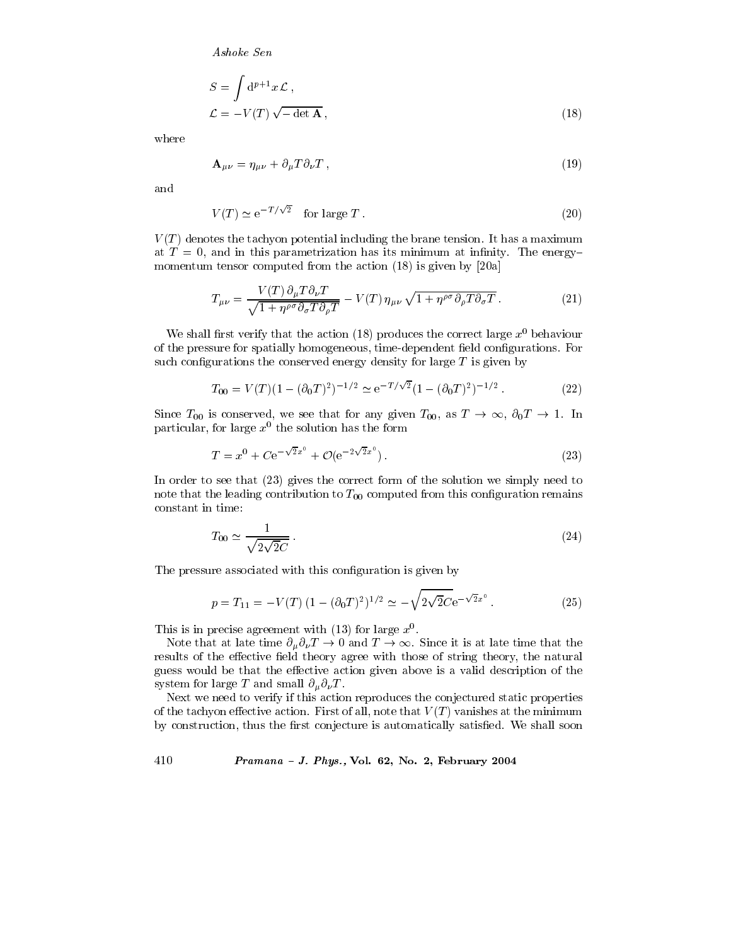$$
S = \int d^{p+1}x \mathcal{L},
$$
  

$$
\mathcal{L} = -V(T)\sqrt{-\det \mathbf{A}},
$$
 (18)

where

$$
\mathbf{A}_{\mu\nu} = \eta_{\mu\nu} + \partial_{\mu} T \partial_{\nu} T , \qquad (19)
$$

and

$$
V(T) \simeq e^{-T/\sqrt{2}} \quad \text{for large } T. \tag{20}
$$

 $V(T)$  denotes the tachyon potential including the brane tension. It has a maximum at  $T=0$ , and in this parametrization has its minimum at infinity. The energymomentum tensor computed from the action  $(18)$  is given by [20a]

$$
T_{\mu\nu} = \frac{V(T)\,\partial_{\mu}T\partial_{\nu}T}{\sqrt{1 + \eta^{\rho\sigma}\partial_{\sigma}T\partial_{\rho}T}} - V(T)\,\eta_{\mu\nu}\,\sqrt{1 + \eta^{\rho\sigma}\partial_{\rho}T\partial_{\sigma}T}.\tag{21}
$$

We shall first verify that the action (18) produces the correct large  $x^0$  behaviour of the pressure for spatially homogeneous, time-dependent field configurations. For such configurations the conserved energy density for large  $T$  is given by

$$
T_{00} = V(T)(1 - (\partial_0 T)^2)^{-1/2} \simeq e^{-T/\sqrt{2}} (1 - (\partial_0 T)^2)^{-1/2}.
$$
 (22)

Since  $T_{00}$  is conserved, we see that for any given  $T_{00}$ , as  $T \to \infty$ ,  $\partial_0 T \to 1$ . In particular, for large  $x^0$  the solution has the form

$$
T = x^{0} + Ce^{-\sqrt{2}x^{0}} + \mathcal{O}(e^{-2\sqrt{2}x^{0}}).
$$
\n(23)

In order to see that  $(23)$  gives the correct form of the solution we simply need to note that the leading contribution to  $T_{00}$  computed from this configuration remains constant in time:

$$
T_{00} \simeq \frac{1}{\sqrt{2\sqrt{2}C}}.\tag{24}
$$

The pressure associated with this configuration is given by

$$
p = T_{11} = -V(T) (1 - (\partial_0 T)^2)^{1/2} \simeq -\sqrt{2\sqrt{2}}C e^{-\sqrt{2}x^0}.
$$
 (25)

This is in precise agreement with (13) for large  $x^0$ .

Note that at late time  $\partial_{\mu} \partial_{\nu} T \to 0$  and  $T \to \infty$ . Since it is at late time that the results of the effective field theory agree with those of string theory, the natural guess would be that the effective action given above is a valid description of the system for large T and small  $\partial_{\mu} \partial_{\nu} T$ .

Next we need to verify if this action reproduces the conjectured static properties of the tachyon effective action. First of all, note that  $V(T)$  vanishes at the minimum by construction, thus the first conjecture is automatically satisfied. We shall soon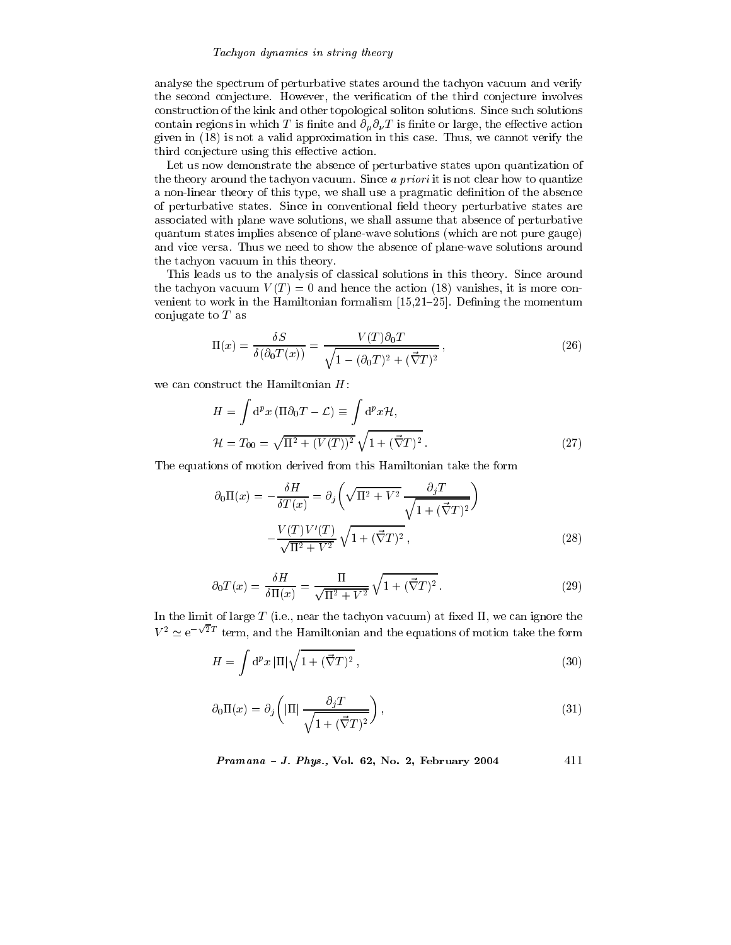## Tachyon dynamics in string theory

analyse the spectrum of perturbative states around the tachyon vacuum and verify the second conjecture. However, the verification of the third conjecture involves construction of the kink and other topological soliton solutions. Since such solutions contain regions in which T is finite and  $\partial_{\mu} \partial_{\nu} T$  is finite or large, the effective action given in  $(18)$  is not a valid approximation in this case. Thus, we cannot verify the third conjecture using this effective action.

Let us now demonstrate the absence of perturbative states upon quantization of the theory around the tachyon vacuum. Since a priori it is not clear how to quantize a non-linear theory of this type, we shall use a pragmatic definition of the absence of perturbative states. Since in conventional field theory perturbative states are associated with plane wave solutions, we shall assume that absence of perturbative quantum states implies absence of plane-wave solutions (which are not pure gauge) and vice versa. Thus we need to show the absence of plane-wave solutions around the tachyon vacuum in this theory.

This leads us to the analysis of classical solutions in this theory. Since around the tachyon vacuum  $V(T) = 0$  and hence the action (18) vanishes, it is more convenient to work in the Hamiltonian formalism  $[15,21-25]$ . Defining the momentum conjugate to  $T$  as

$$
\Pi(x) = \frac{\delta S}{\delta(\partial_0 T(x))} = \frac{V(T)\partial_0 T}{\sqrt{1 - (\partial_0 T)^2 + (\vec{\nabla} T)^2}},\tag{26}
$$

we can construct the Hamiltonian  $H$ :

$$
H = \int d^p x \left( \Pi \partial_0 T - \mathcal{L} \right) \equiv \int d^p x \mathcal{H},
$$
  

$$
\mathcal{H} = T_{00} = \sqrt{\Pi^2 + (V(T))^2} \sqrt{1 + (\vec{\nabla} T)^2}.
$$
 (27)

The equations of motion derived from this Hamiltonian take the form

$$
\partial_0 \Pi(x) = -\frac{\delta H}{\delta T(x)} = \partial_j \left( \sqrt{\Pi^2 + V^2} \frac{\partial_j T}{\sqrt{1 + (\vec{\nabla} T)^2}} \right)
$$

$$
-\frac{V(T)V'(T)}{\sqrt{\Pi^2 + V^2}} \sqrt{1 + (\vec{\nabla} T)^2}, \tag{28}
$$

$$
\partial_0 T(x) = \frac{\delta H}{\delta \Pi(x)} = \frac{\Pi}{\sqrt{\Pi^2 + V^2}} \sqrt{1 + (\vec{\nabla} T)^2}.
$$
\n(29)

In the limit of large  $T$  (i.e., near the tachyon vacuum) at fixed  $\Pi$ , we can ignore the  $V^2 \simeq e^{-\sqrt{2}T}$  term, and the Hamiltonian and the equations of motion take the form

$$
H = \int \mathrm{d}^p x \, |\Pi| \sqrt{1 + (\vec{\nabla} T)^2} \,,\tag{30}
$$

$$
\partial_0 \Pi(x) = \partial_j \left( |\Pi| \frac{\partial_j T}{\sqrt{1 + (\vec{\nabla} T)^2}} \right),\tag{31}
$$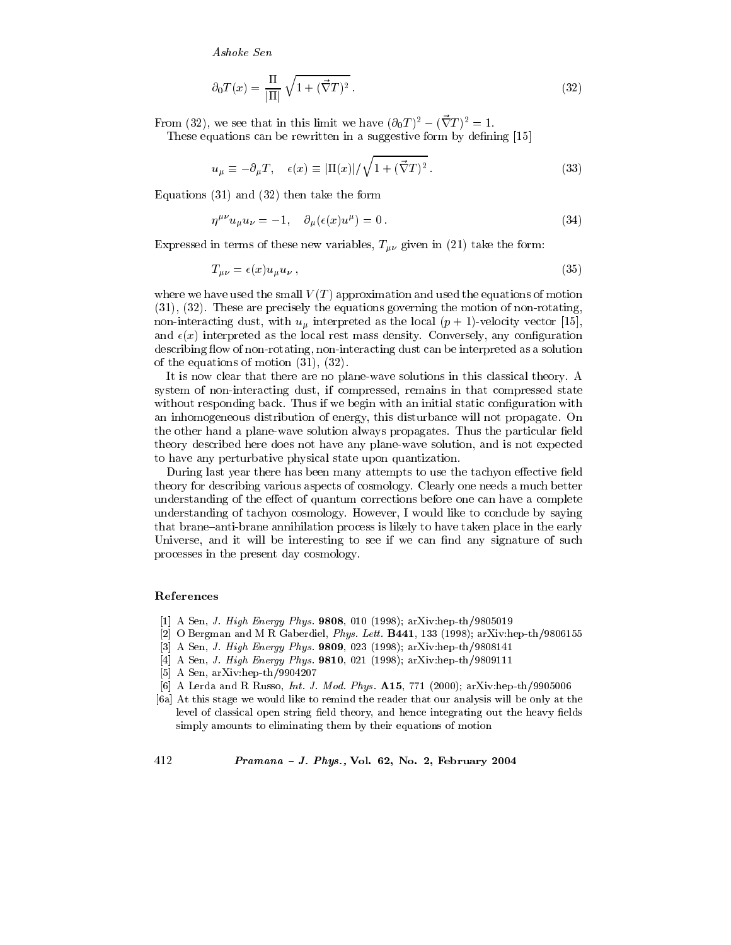$$
\partial_0 T(x) = \frac{\Pi}{|\Pi|} \sqrt{1 + (\vec{\nabla} T)^2}.
$$
\n(32)

From (32), we see that in this limit we have  $(\partial_0 T)^2 - (\vec{\nabla} T)^2 = 1$ .

These equations can be rewritten in a suggestive form by defining [15]

$$
u_{\mu} \equiv -\partial_{\mu} T, \quad \epsilon(x) \equiv |\Pi(x)| / \sqrt{1 + (\vec{\nabla} T)^2} \,. \tag{33}
$$

Equations  $(31)$  and  $(32)$  then take the form

$$
\eta^{\mu\nu}u_{\mu}u_{\nu} = -1, \quad \partial_{\mu}(\epsilon(x)u^{\mu}) = 0. \tag{34}
$$

Expressed in terms of these new variables,  $T_{\mu\nu}$  given in (21) take the form:

$$
T_{\mu\nu} = \epsilon(x)u_{\mu}u_{\nu},\tag{35}
$$

where we have used the small  $V(T)$  approximation and used the equations of motion  $(31), (32)$ . These are precisely the equations governing the motion of non-rotating, non-interacting dust, with  $u_{\mu}$  interpreted as the local  $(p + 1)$ -velocity vector [15], and  $\epsilon(x)$  interpreted as the local rest mass density. Conversely, any configuration describing flow of non-rotating, non-interacting dust can be interpreted as a solution of the equations of motion  $(31)$ ,  $(32)$ .

It is now clear that there are no plane-wave solutions in this classical theory. A system of non-interacting dust, if compressed, remains in that compressed state without responding back. Thus if we begin with an initial static configuration with an inhomogeneous distribution of energy, this disturbance will not propagate. On the other hand a plane-wave solution always propagates. Thus the particular field theory described here does not have any plane-wave solution, and is not expected to have any perturbative physical state upon quantization.

During last year there has been many attempts to use the tachyon effective field theory for describing various aspects of cosmology. Clearly one needs a much better understanding of the effect of quantum corrections before one can have a complete understanding of tachyon cosmology. However, I would like to conclude by saying that brane-anti-brane annihilation process is likely to have taken place in the early Universe, and it will be interesting to see if we can find any signature of such processes in the present day cosmology.

# References

- [1] A Sen, J. High Energy Phys. 9808, 010 (1998); arXiv:hep-th/9805019
- [2] O Bergman and M R Gaberdiel, *Phys. Lett.* **B441**, 133 (1998);  $arXiv:hep-th/9806155$
- [3] A Sen, J. High Energy Phys. 9809, 023 (1998); arXiv:hep-th/9808141
- [4] A Sen, J. High Energy Phys. 9810, 021 (1998); arXiv:hep-th/9809111
- [5] A Sen,  $arXiv:hep-th/9904207$
- [6] A Lerda and R Russo, *Int. J. Mod. Phys.* **A15**, 771 (2000); arXiv:hep-th/9905006
- [6a] At this stage we would like to remind the reader that our analysis will be only at the level of classical open string field theory, and hence integrating out the heavy fields simply amounts to eliminating them by their equations of motion